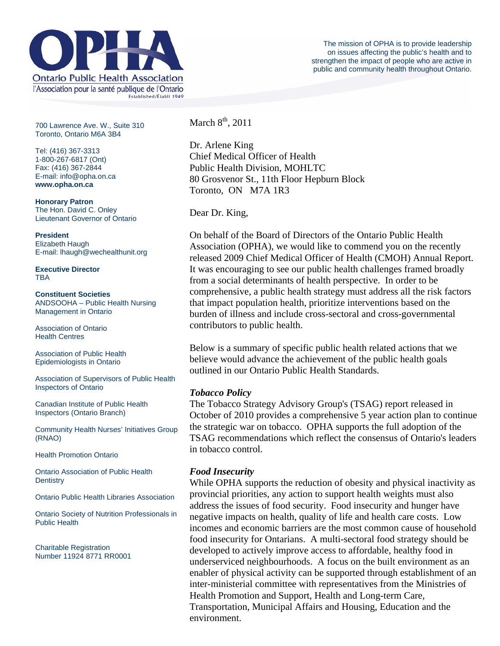

700 Lawrence Ave. W., Suite 310 Toronto, Ontario M6A 3B4

Tel: (416) 367-3313 1-800-267-6817 (Ont) Fax: (416) 367-2844 E-mail: info@opha.on.ca **www.opha.on.ca** 

**Honorary Patron**  The Hon. David C. Onley Lieutenant Governor of Ontario

E-mail: lhaugh@wechealthunit.org

**President**  Elizabeth Haugh

**Executive Director TBA** 

**Constituent Societies**  ANDSOOHA – Public Health Nursing Management in Ontario

Association of Ontario Health Centres

Association of Public Health Epidemiologists in Ontario

Association of Supervisors of Public Health Inspectors of Ontario

Canadian Institute of Public Health Inspectors (Ontario Branch)

Community Health Nurses' Initiatives Group (RNAO)

Health Promotion Ontario

Ontario Association of Public Health **Dentistry** 

Ontario Public Health Libraries Association

Ontario Society of Nutrition Professionals in Public Health

Charitable Registration Number 11924 8771 RR0001 March  $8<sup>th</sup>$ , 2011

Dr. Arlene King Chief Medical Officer of Health Public Health Division, MOHLTC 80 Grosvenor St., 11th Floor Hepburn Block Toronto, ON M7A 1R3

Dear Dr. King,

On behalf of the Board of Directors of the Ontario Public Health Association (OPHA), we would like to commend you on the recently released 2009 Chief Medical Officer of Health (CMOH) Annual Report. It was encouraging to see our public health challenges framed broadly from a social determinants of health perspective. In order to be comprehensive, a public health strategy must address all the risk factors that impact population health, prioritize interventions based on the burden of illness and include cross-sectoral and cross-governmental contributors to public health.

Below is a summary of specific public health related actions that we believe would advance the achievement of the public health goals outlined in our Ontario Public Health Standards.

## *Tobacco Policy*

The Tobacco Strategy Advisory Group's (TSAG) report released in October of 2010 provides a comprehensive 5 year action plan to continue the strategic war on tobacco. OPHA supports the full adoption of the TSAG recommendations which reflect the consensus of Ontario's leaders in tobacco control.

# *Food Insecurity*

While OPHA supports the reduction of obesity and physical inactivity as provincial priorities, any action to support health weights must also address the issues of food security. Food insecurity and hunger have negative impacts on health, quality of life and health care costs. Low incomes and economic barriers are the most common cause of household food insecurity for Ontarians. A multi-sectoral food strategy should be developed to actively improve access to affordable, healthy food in underserviced neighbourhoods. A focus on the built environment as an enabler of physical activity can be supported through establishment of an inter-ministerial committee with representatives from the Ministries of Health Promotion and Support, Health and Long-term Care, Transportation, Municipal Affairs and Housing, Education and the environment.